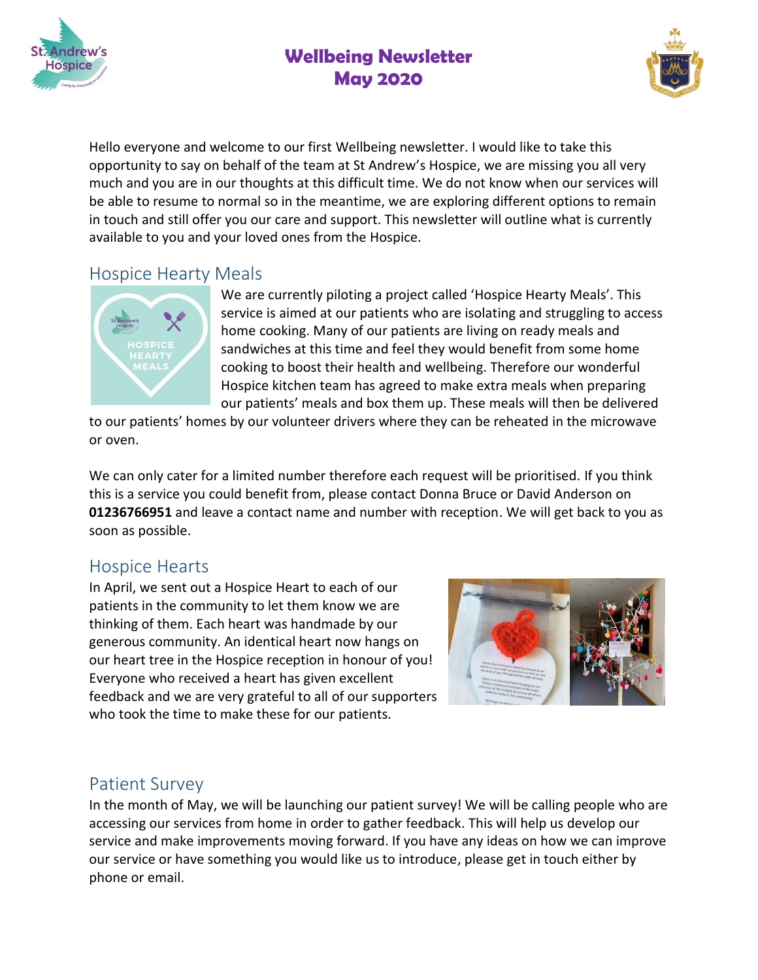

# **Wellbeing Newsletter May 2020**



Hello everyone and welcome to our first Wellbeing newsletter. I would like to take this opportunity to say on behalf of the team at St Andrew's Hospice, we are missing you all very much and you are in our thoughts at this difficult time. We do not know when our services will be able to resume to normal so in the meantime, we are exploring different options to remain in touch and still offer you our care and support. This newsletter will outline what is currently available to you and your loved ones from the Hospice.

#### Hospice Hearty Meals



We are currently piloting a project called 'Hospice Hearty Meals'. This service is aimed at our patients who are isolating and struggling to access home cooking. Many of our patients are living on ready meals and sandwiches at this time and feel they would benefit from some home cooking to boost their health and wellbeing. Therefore our wonderful Hospice kitchen team has agreed to make extra meals when preparing our patients' meals and box them up. These meals will then be delivered

to our patients' homes by our volunteer drivers where they can be reheated in the microwave or oven.

We can only cater for a limited number therefore each request will be prioritised. If you think this is a service you could benefit from, please contact Donna Bruce or David Anderson on **01236766951** and leave a contact name and number with reception. We will get back to you as soon as possible.

### Hospice Hearts

In April, we sent out a Hospice Heart to each of our patients in the community to let them know we are thinking of them. Each heart was handmade by our generous community. An identical heart now hangs on our heart tree in the Hospice reception in honour of you! Everyone who received a heart has given excellent feedback and we are very grateful to all of our supporters who took the time to make these for our patients.



## Patient Survey

In the month of May, we will be launching our patient survey! We will be calling people who are accessing our services from home in order to gather feedback. This will help us develop our service and make improvements moving forward. If you have any ideas on how we can improve our service or have something you would like us to introduce, please get in touch either by phone or email.